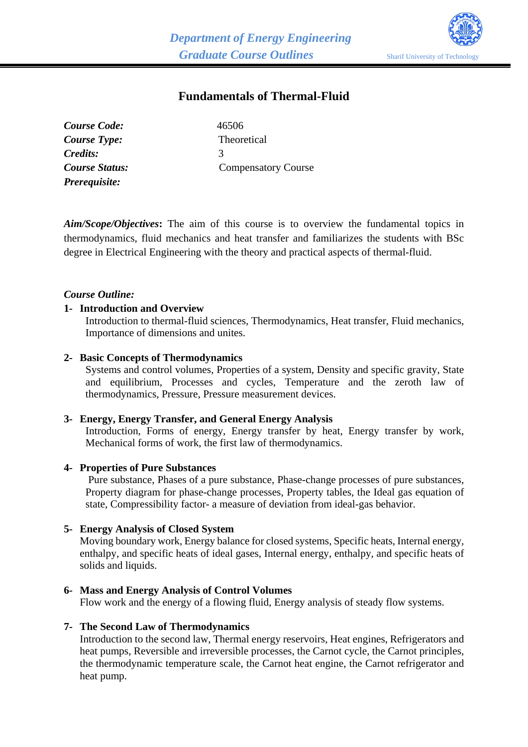

# **Fundamentals of Thermal-Fluid**

| Course Code:   | 46506                      |
|----------------|----------------------------|
| Course Type:   | Theoretical                |
| Credits:       | $\mathcal{R}$              |
| Course Status: | <b>Compensatory Course</b> |
| Prerequisite:  |                            |

*Aim/Scope/Objectives***:** The aim of this course is to overview the fundamental topics in thermodynamics, fluid mechanics and heat transfer and familiarizes the students with BSc degree in Electrical Engineering with the theory and practical aspects of thermal-fluid.

# *Course Outline:*

### **1- Introduction and Overview**

Introduction to thermal-fluid sciences, Thermodynamics, Heat transfer, Fluid mechanics, Importance of dimensions and unites.

### **2- Basic Concepts of Thermodynamics**

Systems and control volumes, Properties of a system, Density and specific gravity, State and equilibrium, Processes and cycles, Temperature and the zeroth law of thermodynamics, Pressure, Pressure measurement devices.

### **3- Energy, Energy Transfer, and General Energy Analysis**

Introduction, Forms of energy, Energy transfer by heat, Energy transfer by work, Mechanical forms of work, the first law of thermodynamics.

### **4- Properties of Pure Substances**

Pure substance, Phases of a pure substance, Phase-change processes of pure substances, Property diagram for phase-change processes, Property tables, the Ideal gas equation of state, Compressibility factor- a measure of deviation from ideal-gas behavior.

### **5- Energy Analysis of Closed System**

Moving boundary work, Energy balance for closed systems, Specific heats, Internal energy, enthalpy, and specific heats of ideal gases, Internal energy, enthalpy, and specific heats of solids and liquids.

### **6- Mass and Energy Analysis of Control Volumes**

Flow work and the energy of a flowing fluid, Energy analysis of steady flow systems.

#### **7- The Second Law of Thermodynamics**

Introduction to the second law, Thermal energy reservoirs, Heat engines, Refrigerators and heat pumps, Reversible and irreversible processes, the Carnot cycle, the Carnot principles, the thermodynamic temperature scale, the Carnot heat engine, the Carnot refrigerator and heat pump.